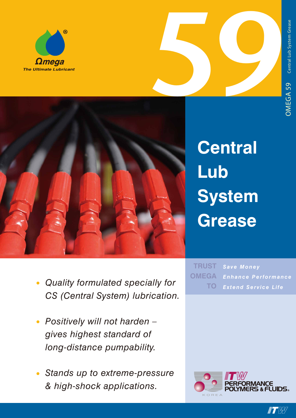





**Central Lub System Grease**

- *• Quality formulated specially for CS (Central System) lubrication.*
- *• Positively will not harden gives highest standard of long-distance pumpability.*
- *• Stands up to extreme-pressure & high-shock applications.*

*Save Money Enhance Performance Extend Service Life* **TRUST OMEGA TO**



**IT W**